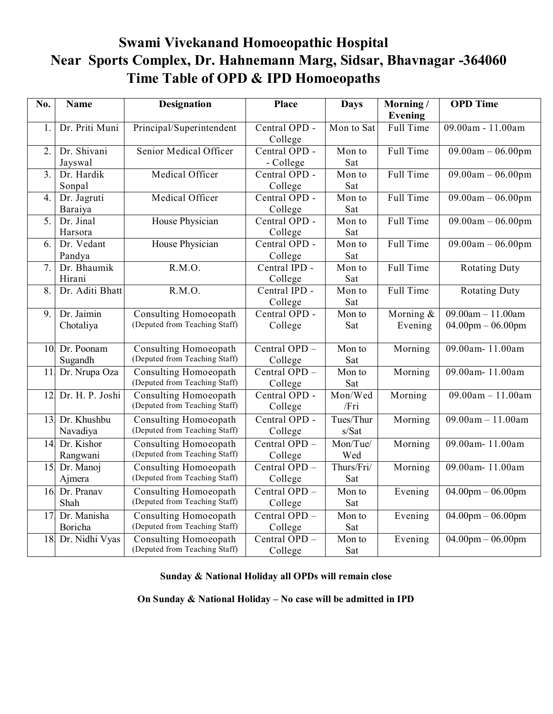## **Swami Vivekanand Homoeopathic Hospital Near Sports Complex, Dr. Hahnemann Marg, Sidsar, Bhavnagar -364060 Time Table of OPD & IPD Homoeopaths**

| No.              | <b>Name</b>     | <b>Designation</b>            | <b>Place</b>    | <b>Days</b>                | Morning/              | <b>OPD</b> Time                |
|------------------|-----------------|-------------------------------|-----------------|----------------------------|-----------------------|--------------------------------|
|                  |                 |                               |                 |                            | Evening               |                                |
| $\mathbf{1}$ .   | Dr. Priti Muni  | Principal/Superintendent      | Central OPD -   | Mon to Sat                 | Full Time             | 09.00am - 11.00am              |
|                  |                 |                               | College         |                            |                       |                                |
| $\overline{2}$ . | Dr. Shivani     | Senior Medical Officer        | Central OPD -   | Mon to                     | Full Time             | $09.00am - 06.00pm$            |
|                  | Jayswal         |                               | - College       | Sat                        |                       |                                |
| $\overline{3}$ . | Dr. Hardik      | Medical Officer               | Central OPD -   | Mon to                     | Full Time             | $09.00am - 06.00pm$            |
|                  | Sonpal          |                               | College         | Sat                        |                       |                                |
| 4.               | Dr. Jagruti     | Medical Officer               | Central OPD -   | Mon to                     | Full Time             | $09.00am - 06.00pm$            |
|                  | Baraiya         |                               | College         | Sat                        |                       |                                |
| 5.               | Dr. Jinal       | House Physician               | Central OPD -   | Mon to                     | Full Time             | $09.00am - 06.00pm$            |
|                  | Harsora         |                               | College         | Sat                        |                       |                                |
| 6.               | Dr. Vedant      | House Physician               | Central OPD -   | Mon to                     | Full Time             | $09.00am - 06.00pm$            |
|                  | Pandya          |                               | College         | Sat                        |                       |                                |
| 7.               | Dr. Bhaumik     | R.M.O.                        | Central IPD -   | Mon to                     | Full Time             | <b>Rotating Duty</b>           |
|                  | Hirani          |                               | College         | Sat                        |                       |                                |
| $\overline{8}$ . | Dr. Aditi Bhatt | R.M.O.                        | Central IPD -   | $\overline{\text{Mon}}$ to | Full Time             | <b>Rotating Duty</b>           |
|                  |                 |                               | College         | Sat                        |                       |                                |
| 9.               | Dr. Jaimin      | Consulting Homoeopath         | Central OPD -   | Mon to                     | Morning $&$           | $09.00am - 11.00am$            |
|                  | Chotaliya       | (Deputed from Teaching Staff) | College         | Sat                        | Evening               | $04.00$ pm $- 06.00$ pm        |
|                  |                 |                               |                 |                            |                       |                                |
| 10               | Dr. Poonam      | <b>Consulting Homoeopath</b>  | Central OPD -   | Mon to                     | Morning               | 09.00am-11.00am                |
|                  | Sugandh         | (Deputed from Teaching Staff) | College         | Sat                        |                       |                                |
| 11               | Dr. Nrupa Oza   | Consulting Homoeopath         | Central OPD -   | Mon to                     | Morning               | 09.00am-11.00am                |
|                  |                 | (Deputed from Teaching Staff) | College         | Sat                        |                       |                                |
| 12               | Dr. H. P. Joshi | Consulting Homoeopath         | Central OPD -   | Mon/Wed                    | Morning               | $09.00am - 11.00am$            |
|                  |                 | (Deputed from Teaching Staff) | College         | /Fri                       |                       |                                |
| 13.              | Dr. Khushbu     | Consulting Homoeopath         | Central OPD -   | Tues/Thur                  | Morning               | $09.00am - 11.00am$            |
|                  | Navadiya        | (Deputed from Teaching Staff) | College         | s/Sat                      |                       |                                |
| 14               | Dr. Kishor      | Consulting Homoeopath         | Central OPD -   | Mon/Tue/                   | Morning               | 09.00am-11.00am                |
|                  | Rangwani        | (Deputed from Teaching Staff) | College         | Wed                        |                       |                                |
| 15               | Dr. Manoj       | Consulting Homoeopath         | Central OPD -   | Thurs/Fri/                 | Morning               | 09.00am-11.00am                |
|                  | Ajmera          | (Deputed from Teaching Staff) | College         | Sat                        |                       |                                |
| 16               | Dr. Pranav      | Consulting Homoeopath         | Central OPD -   | Mon to                     | $\overline{E}$ vening | $04.00$ pm $-06.00$ pm         |
|                  | Shah            | (Deputed from Teaching Staff) | College         | Sat                        |                       |                                |
|                  | 17 Dr. Manisha  | Consulting Homoeopath         | Central OPD -   | Mon to                     | Evening               | $\overline{04.00pm - 06.00pm}$ |
|                  | Boricha         | (Deputed from Teaching Staff) | College         | Sat                        |                       |                                |
| 18               | Dr. Nidhi Vyas  | <b>Consulting Homoeopath</b>  | Central $OPD -$ | Mon to                     | Evening               | $04.00$ pm $- 06.00$ pm        |
|                  |                 | (Deputed from Teaching Staff) | College         | Sat                        |                       |                                |
|                  |                 |                               |                 |                            |                       |                                |

## **Sunday & National Holiday all OPDs will remain close**

**On Sunday & National Holiday – No case will be admitted in IPD**